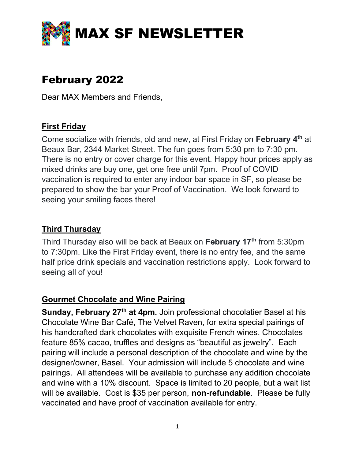

# February 2022

Dear MAX Members and Friends,

#### **First Friday**

Come socialize with friends, old and new, at First Friday on February 4th at Beaux Bar, 2344 Market Street. The fun goes from 5:30 pm to 7:30 pm. There is no entry or cover charge for this event. Happy hour prices apply as mixed drinks are buy one, get one free until 7pm. Proof of COVID vaccination is required to enter any indoor bar space in SF, so please be prepared to show the bar your Proof of Vaccination. We look forward to seeing your smiling faces there!

#### Third Thursday

Third Thursday also will be back at Beaux on February 17<sup>th</sup> from 5:30pm to 7:30pm. Like the First Friday event, there is no entry fee, and the same half price drink specials and vaccination restrictions apply. Look forward to seeing all of you!

#### Gourmet Chocolate and Wine Pairing

Sunday, February 27<sup>th</sup> at 4pm. Join professional chocolatier Basel at his Chocolate Wine Bar Café, The Velvet Raven, for extra special pairings of his handcrafted dark chocolates with exquisite French wines. Chocolates feature 85% cacao, truffles and designs as "beautiful as jewelry". Each pairing will include a personal description of the chocolate and wine by the designer/owner, Basel. Your admission will include 5 chocolate and wine pairings. All attendees will be available to purchase any addition chocolate and wine with a 10% discount. Space is limited to 20 people, but a wait list will be available. Cost is \$35 per person, non-refundable. Please be fully vaccinated and have proof of vaccination available for entry.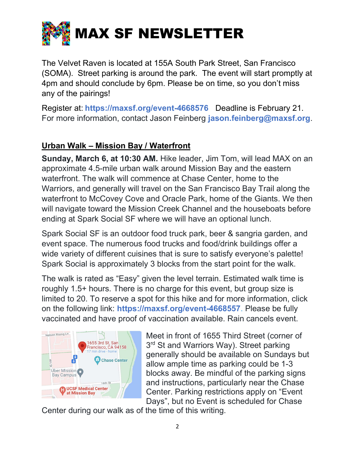

The Velvet Raven is located at 155A South Park Street, San Francisco (SOMA). Street parking is around the park. The event will start promptly at 4pm and should conclude by 6pm. Please be on time, so you don't miss any of the pairings!

Register at: https://maxsf.org/event-4668576 Deadline is February 21. For more information, contact Jason Feinberg jason.feinberg@maxsf.org.

# Urban Walk – Mission Bay / Waterfront

Sunday, March 6, at 10:30 AM. Hike leader, Jim Tom, will lead MAX on an approximate 4.5-mile urban walk around Mission Bay and the eastern waterfront. The walk will commence at Chase Center, home to the Warriors, and generally will travel on the San Francisco Bay Trail along the waterfront to McCovey Cove and Oracle Park, home of the Giants. We then will navigate toward the Mission Creek Channel and the houseboats before ending at Spark Social SF where we will have an optional lunch.

Spark Social SF is an outdoor food truck park, beer & sangria garden, and event space. The numerous food trucks and food/drink buildings offer a wide variety of different cuisines that is sure to satisfy everyone's palette! Spark Social is approximately 3 blocks from the start point for the walk.

The walk is rated as "Easy" given the level terrain. Estimated walk time is roughly 1.5+ hours. There is no charge for this event, but group size is limited to 20. To reserve a spot for this hike and for more information, click on the following link: https://maxsf.org/event-4668557. Please be fully vaccinated and have proof of vaccination available. Rain cancels event.



Meet in front of 1655 Third Street (corner of 3<sup>rd</sup> St and Warriors Way). Street parking generally should be available on Sundays but allow ample time as parking could be 1-3 blocks away. Be mindful of the parking signs and instructions, particularly near the Chase Center. Parking restrictions apply on "Event Days", but no Event is scheduled for Chase

Center during our walk as of the time of this writing.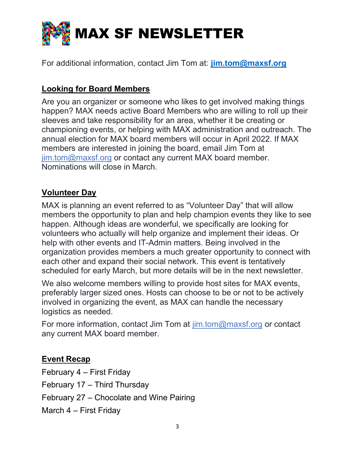

For additional information, contact Jim Tom at: jim.tom@maxsf.org

# Looking for Board Members

Are you an organizer or someone who likes to get involved making things happen? MAX needs active Board Members who are willing to roll up their sleeves and take responsibility for an area, whether it be creating or championing events, or helping with MAX administration and outreach. The annual election for MAX board members will occur in April 2022. If MAX members are interested in joining the board, email Jim Tom at jim.tom@maxsf.org or contact any current MAX board member. Nominations will close in March.

# Volunteer Day

MAX is planning an event referred to as "Volunteer Day" that will allow members the opportunity to plan and help champion events they like to see happen. Although ideas are wonderful, we specifically are looking for volunteers who actually will help organize and implement their ideas. Or help with other events and IT-Admin matters. Being involved in the organization provides members a much greater opportunity to connect with each other and expand their social network. This event is tentatively scheduled for early March, but more details will be in the next newsletter.

We also welcome members willing to provide host sites for MAX events, preferably larger sized ones. Hosts can choose to be or not to be actively involved in organizing the event, as MAX can handle the necessary logistics as needed.

For more information, contact Jim Tom at jim.tom@maxsf.org or contact any current MAX board member.

#### Event Recap

February 4 – First Friday February 17 – Third Thursday February 27 – Chocolate and Wine Pairing March 4 – First Friday